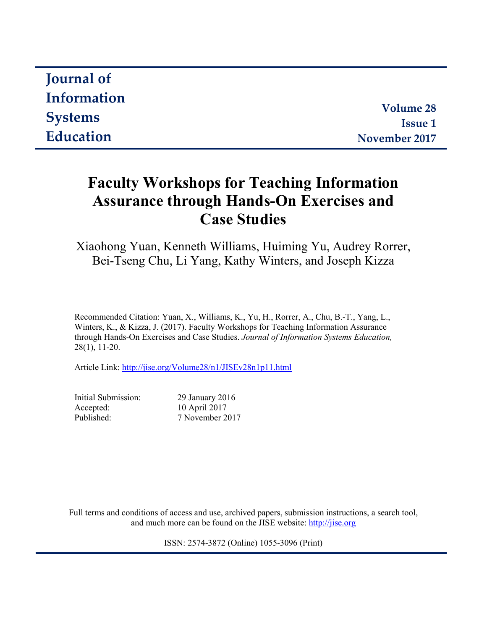| <b>Journal of</b> |                |
|-------------------|----------------|
| Information       |                |
|                   | Volume 28      |
| <b>Systems</b>    | <b>Issue 1</b> |
| Education         | November 2017  |

# **Faculty Workshops for Teaching Information Assurance through Hands-On Exercises and Case Studies**

Xiaohong Yuan, Kenneth Williams, Huiming Yu, Audrey Rorrer, Bei-Tseng Chu, Li Yang, Kathy Winters, and Joseph Kizza

Recommended Citation: Yuan, X., Williams, K., Yu, H., Rorrer, A., Chu, B.-T., Yang, L., Winters, K., & Kizza, J. (2017). Faculty Workshops for Teaching Information Assurance through Hands-On Exercises and Case Studies. *Journal of Information Systems Education,*  28(1), 11-20.

Article Link: <http://jise.org/Volume28/n1/JISEv28n1p11.html>

Initial Submission: 29 January 2016 Accepted: 10 April 2017 Published: 7 November 2017

Full terms and conditions of access and use, archived papers, submission instructions, a search tool, and much more can be found on the JISE website: [http://jise.org](http://jise.org/)

ISSN: 2574-3872 (Online) 1055-3096 (Print)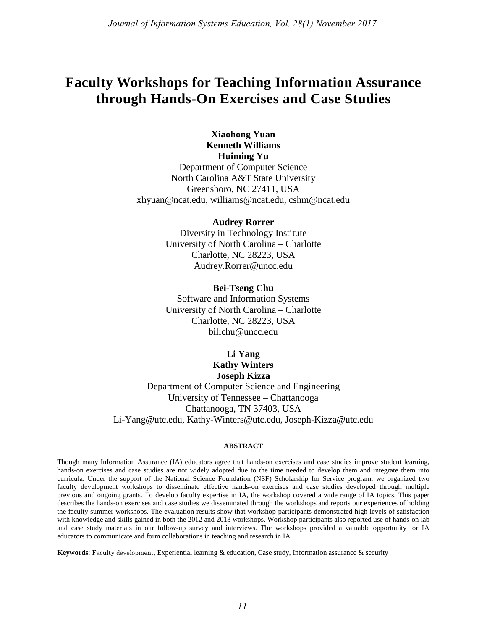## **Faculty Workshops for Teaching Information Assurance through Hands-On Exercises and Case Studies**

## **Xiaohong Yuan Kenneth Williams Huiming Yu**

Department of Computer Science North Carolina A&T State University Greensboro, NC 27411, USA xhyuan@ncat.edu, williams@ncat.edu, cshm@ncat.edu

#### **Audrey Rorrer**

Diversity in Technology Institute University of North Carolina – Charlotte Charlotte, NC 28223, USA Audrey.Rorrer@uncc.edu

**Bei-Tseng Chu** Software and Information Systems University of North Carolina – Charlotte Charlotte, NC 28223, USA billchu@uncc.edu

## **Li Yang Kathy Winters Joseph Kizza**

Department of Computer Science and Engineering University of Tennessee – Chattanooga Chattanooga, TN 37403, USA Li-Yang@utc.edu, Kathy-Winters@utc.edu, Joseph-Kizza@utc.edu

#### **ABSTRACT**

Though many Information Assurance (IA) educators agree that hands-on exercises and case studies improve student learning, hands-on exercises and case studies are not widely adopted due to the time needed to develop them and integrate them into curricula. Under the support of the National Science Foundation (NSF) Scholarship for Service program, we organized two faculty development workshops to disseminate effective hands-on exercises and case studies developed through multiple previous and ongoing grants. To develop faculty expertise in IA, the workshop covered a wide range of IA topics. This paper describes the hands-on exercises and case studies we disseminated through the workshops and reports our experiences of holding the faculty summer workshops. The evaluation results show that workshop participants demonstrated high levels of satisfaction with knowledge and skills gained in both the 2012 and 2013 workshops. Workshop participants also reported use of hands-on lab and case study materials in our follow-up survey and interviews. The workshops provided a valuable opportunity for IA educators to communicate and form collaborations in teaching and research in IA.

**Keywords**: Faculty development, Experiential learning & education, Case study, Information assurance & security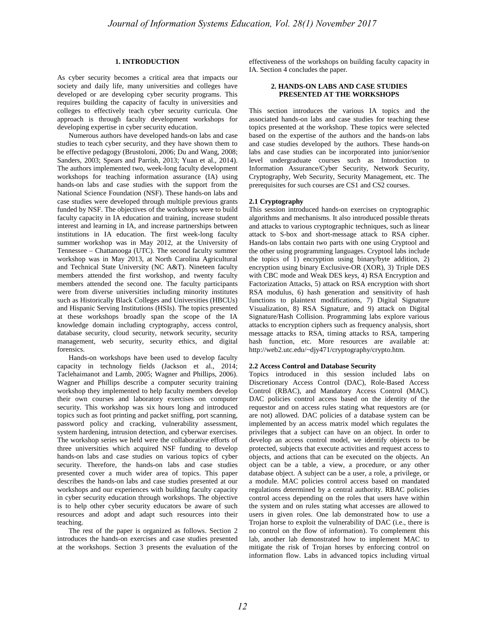#### **1. INTRODUCTION**

As cyber security becomes a critical area that impacts our society and daily life, many universities and colleges have developed or are developing cyber security programs. This requires building the capacity of faculty in universities and colleges to effectively teach cyber security curricula. One approach is through faculty development workshops for developing expertise in cyber security education.

Numerous authors have developed hands-on labs and case studies to teach cyber security, and they have shown them to be effective pedagogy (Brustoloni, 2006; Du and Wang, 2008; Sanders, 2003; Spears and Parrish, 2013; Yuan et al., 2014). The authors implemented two, week-long faculty development workshops for teaching information assurance (IA) using hands-on labs and case studies with the support from the National Science Foundation (NSF). These hands-on labs and case studies were developed through multiple previous grants funded by NSF. The objectives of the workshops were to build faculty capacity in IA education and training, increase student interest and learning in IA, and increase partnerships between institutions in IA education. The first week-long faculty summer workshop was in May 2012, at the University of Tennessee – Chattanooga (UTC). The second faculty summer workshop was in May 2013, at North Carolina Agricultural and Technical State University (NC A&T). Nineteen faculty members attended the first workshop, and twenty faculty members attended the second one. The faculty participants were from diverse universities including minority institutes such as Historically Black Colleges and Universities (HBCUs) and Hispanic Serving Institutions (HSIs). The topics presented at these workshops broadly span the scope of the IA knowledge domain including cryptography, access control, database security, cloud security, network security, security management, web security, security ethics, and digital forensics.

Hands-on workshops have been used to develop faculty capacity in technology fields (Jackson et al., 2014; Taclehaimanot and Lamb, 2005; Wagner and Phillips, 2006). Wagner and Phillips describe a computer security training workshop they implemented to help faculty members develop their own courses and laboratory exercises on computer security. This workshop was six hours long and introduced topics such as foot printing and packet sniffing, port scanning, password policy and cracking, vulnerability assessment, system hardening, intrusion detection, and cyberwar exercises. The workshop series we held were the collaborative efforts of three universities which acquired NSF funding to develop hands-on labs and case studies on various topics of cyber security. Therefore, the hands-on labs and case studies presented cover a much wider area of topics. This paper describes the hands-on labs and case studies presented at our workshops and our experiences with building faculty capacity in cyber security education through workshops. The objective is to help other cyber security educators be aware of such resources and adopt and adapt such resources into their teaching.

The rest of the paper is organized as follows. Section 2 introduces the hands-on exercises and case studies presented at the workshops. Section 3 presents the evaluation of the effectiveness of the workshops on building faculty capacity in IA. Section 4 concludes the paper.

#### **2. HANDS-ON LABS AND CASE STUDIES PRESENTED AT THE WORKSHOPS**

This section introduces the various IA topics and the associated hands-on labs and case studies for teaching these topics presented at the workshop. These topics were selected based on the expertise of the authors and the hands-on labs and case studies developed by the authors. These hands-on labs and case studies can be incorporated into junior/senior level undergraduate courses such as Introduction to Information Assurance/Cyber Security, Network Security, Cryptography, Web Security, Security Management, etc. The prerequisites for such courses are CS1 and CS2 courses.

#### **2.1 Cryptography**

This session introduced hands-on exercises on cryptographic algorithms and mechanisms. It also introduced possible threats and attacks to various cryptographic techniques, such as linear attack to S-box and short-message attack to RSA cipher. Hands-on labs contain two parts with one using Cryptool and the other using programming languages. Cryptool labs include the topics of 1) encryption using binary/byte addition, 2) encryption using binary Exclusive-OR (XOR), 3) Triple DES with CBC mode and Weak DES keys, 4) RSA Encryption and Factorization Attacks, 5) attack on RSA encryption with short RSA modulus, 6) hash generation and sensitivity of hash functions to plaintext modifications, 7) Digital Signature Visualization, 8) RSA Signature, and 9) attack on Digital Signature/Hash Collision. Programming labs explore various attacks to encryption ciphers such as frequency analysis, short message attacks to RSA, timing attacks to RSA, tampering hash function, etc. More resources are available at: http://web2.utc.edu/~djy471/cryptography/crypto.htm.

#### **2.2 Access Control and Database Security**

Topics introduced in this session included labs on Discretionary Access Control (DAC), Role-Based Access Control (RBAC), and Mandatory Access Control (MAC). DAC policies control access based on the identity of the requestor and on access rules stating what requestors are (or are not) allowed. DAC policies of a database system can be implemented by an access matrix model which regulates the privileges that a subject can have on an object. In order to develop an access control model, we identify objects to be protected, subjects that execute activities and request access to objects, and actions that can be executed on the objects. An object can be a table, a view, a procedure, or any other database object. A subject can be a user, a role, a privilege, or a module. MAC policies control access based on mandated regulations determined by a central authority. RBAC policies control access depending on the roles that users have within the system and on rules stating what accesses are allowed to users in given roles. One lab demonstrated how to use a Trojan horse to exploit the vulnerability of DAC (i.e., there is no control on the flow of information). To complement this lab, another lab demonstrated how to implement MAC to mitigate the risk of Trojan horses by enforcing control on information flow. Labs in advanced topics including virtual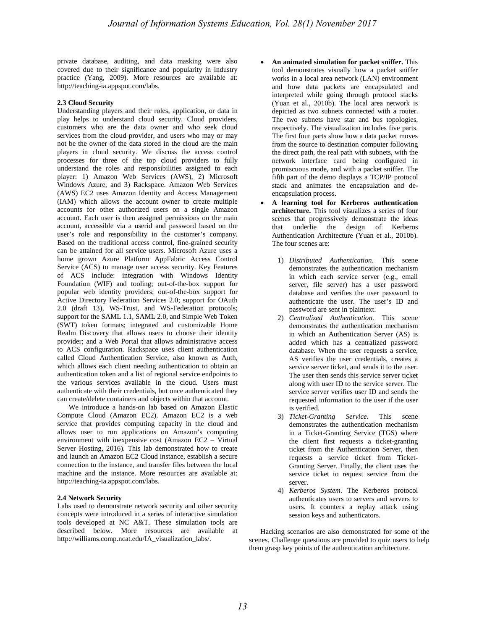private database, auditing, and data masking were also covered due to their significance and popularity in industry practice (Yang, 2009). More resources are available at: http://teaching-ia.appspot.com/labs.

#### **2.3 Cloud Security**

Understanding players and their roles, application, or data in play helps to understand cloud security. Cloud providers, customers who are the data owner and who seek cloud services from the cloud provider, and users who may or may not be the owner of the data stored in the cloud are the main players in cloud security. We discuss the access control processes for three of the top cloud providers to fully understand the roles and responsibilities assigned to each player: 1) Amazon Web Services (AWS), 2) Microsoft Windows Azure, and 3) Rackspace. Amazon Web Services (AWS) EC2 uses Amazon Identity and Access Management (IAM) which allows the account owner to create multiple accounts for other authorized users on a single Amazon account. Each user is then assigned permissions on the main account, accessible via a userid and password based on the user's role and responsibility in the customer's company. Based on the traditional access control, fine-grained security can be attained for all service users. Microsoft Azure uses a home grown Azure Platform AppFabric Access Control Service (ACS) to manage user access security. Key Features of ACS include: integration with Windows Identity Foundation (WIF) and tooling; out-of-the-box support for popular web identity providers; out-of-the-box support for Active Directory Federation Services 2.0; support for OAuth 2.0 (draft 13), WS-Trust, and WS-Federation protocols; support for the SAML 1.1, SAML 2.0, and Simple Web Token (SWT) token formats; integrated and customizable Home Realm Discovery that allows users to choose their identity provider; and a Web Portal that allows administrative access to ACS configuration. Rackspace uses client authentication called Cloud Authentication Service, also known as Auth, which allows each client needing authentication to obtain an authentication token and a list of regional service endpoints to the various services available in the cloud. Users must authenticate with their credentials, but once authenticated they can create/delete containers and objects within that account.

We introduce a hands-on lab based on Amazon Elastic Compute Cloud (Amazon EC2). Amazon EC2 is a web service that provides computing capacity in the cloud and allows user to run applications on Amazon's computing environment with inexpensive cost (Amazon EC2 – Virtual Server Hosting, 2016). This lab demonstrated how to create and launch an Amazon EC2 Cloud instance, establish a secure connection to the instance, and transfer files between the local machine and the instance. More resources are available at: http://teaching-ia.appspot.com/labs.

#### **2.4 Network Security**

Labs used to demonstrate network security and other security concepts were introduced in a series of interactive simulation tools developed at NC A&T. These simulation tools are described below. More resources are available at http://williams.comp.ncat.edu/IA\_visualization\_labs/.

- **An animated simulation for packet sniffer.** This tool demonstrates visually how a packet sniffer works in a local area network (LAN) environment and how data packets are encapsulated and interpreted while going through protocol stacks (Yuan et al., 2010b). The local area network is depicted as two subnets connected with a router. The two subnets have star and bus topologies, respectively. The visualization includes five parts. The first four parts show how a data packet moves from the source to destination computer following the direct path, the real path with subnets, with the network interface card being configured in promiscuous mode, and with a packet sniffer. The fifth part of the demo displays a TCP/IP protocol stack and animates the encapsulation and deencapsulation process.
- **A learning tool for Kerberos authentication architecture.** This tool visualizes a series of four scenes that progressively demonstrate the ideas that underlie the design of Kerberos Authentication Architecture (Yuan et al., 2010b). The four scenes are:
	- 1) *Distributed Authentication*. This scene demonstrates the authentication mechanism in which each service server (e.g., email server, file server) has a user password database and verifies the user password to authenticate the user. The user's ID and password are sent in plaintext.
	- 2) *Centralized Authentication*. This scene demonstrates the authentication mechanism in which an Authentication Server (AS) is added which has a centralized password database. When the user requests a service, AS verifies the user credentials, creates a service server ticket, and sends it to the user. The user then sends this service server ticket along with user ID to the service server. The service server verifies user ID and sends the requested information to the user if the user is verified.
	- 3) *Ticket-Granting Service*. This scene demonstrates the authentication mechanism in a Ticket-Granting Service (TGS) where the client first requests a ticket-granting ticket from the Authentication Server, then requests a service ticket from Ticket-Granting Server. Finally, the client uses the service ticket to request service from the server.
	- 4) *Kerberos System*. The Kerberos protocol authenticates users to servers and servers to users. It counters a replay attack using session keys and authenticators.

Hacking scenarios are also demonstrated for some of the scenes. Challenge questions are provided to quiz users to help them grasp key points of the authentication architecture.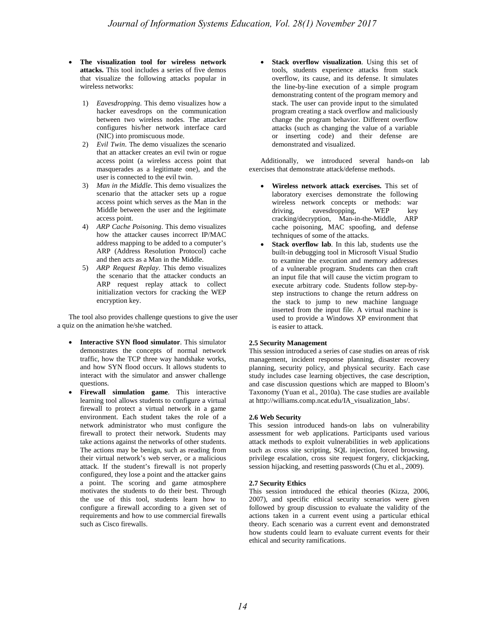- **The visualization tool for wireless network attacks.** This tool includes a series of five demos that visualize the following attacks popular in wireless networks:
	- 1) *Eavesdropping*. This demo visualizes how a hacker eavesdrops on the communication between two wireless nodes. The attacker configures his/her network interface card (NIC) into promiscuous mode.
	- 2) *Evil Twin*. The demo visualizes the scenario that an attacker creates an evil twin or rogue access point (a wireless access point that masquerades as a legitimate one), and the user is connected to the evil twin.
	- 3) *Man in the Middle*. This demo visualizes the scenario that the attacker sets up a rogue access point which serves as the Man in the Middle between the user and the legitimate access point.
	- 4) *ARP Cache Poisoning*. This demo visualizes how the attacker causes incorrect IP/MAC address mapping to be added to a computer's ARP (Address Resolution Protocol) cache and then acts as a Man in the Middle.
	- 5) *ARP Request Replay*. This demo visualizes the scenario that the attacker conducts an ARP request replay attack to collect initialization vectors for cracking the WEP encryption key.

The tool also provides challenge questions to give the user a quiz on the animation he/she watched.

- **Interactive SYN flood simulator**. This simulator demonstrates the concepts of normal network traffic, how the TCP three way handshake works, and how SYN flood occurs. It allows students to interact with the simulator and answer challenge questions.
- **Firewall simulation game**. This interactive learning tool allows students to configure a virtual firewall to protect a virtual network in a game environment. Each student takes the role of a network administrator who must configure the firewall to protect their network. Students may take actions against the networks of other students. The actions may be benign, such as reading from their virtual network's web server, or a malicious attack. If the student's firewall is not properly configured, they lose a point and the attacker gains a point. The scoring and game atmosphere motivates the students to do their best. Through the use of this tool, students learn how to configure a firewall according to a given set of requirements and how to use commercial firewalls such as Cisco firewalls.

Stack overflow visualization. Using this set of tools, students experience attacks from stack overflow, its cause, and its defense. It simulates the line-by-line execution of a simple program demonstrating content of the program memory and stack. The user can provide input to the simulated program creating a stack overflow and maliciously change the program behavior. Different overflow attacks (such as changing the value of a variable or inserting code) and their defense are demonstrated and visualized.

Additionally, we introduced several hands-on lab exercises that demonstrate attack/defense methods.

- **Wireless network attack exercises.** This set of laboratory exercises demonstrate the following wireless network concepts or methods: war<br>driving. eavesdropping. WEP key driving, eavesdropping, WEP key cracking/decryption, Man-in-the-Middle, ARP cache poisoning, MAC spoofing, and defense techniques of some of the attacks.
- **Stack overflow lab**. In this lab, students use the built-in debugging tool in Microsoft Visual Studio to examine the execution and memory addresses of a vulnerable program. Students can then craft an input file that will cause the victim program to execute arbitrary code. Students follow step-bystep instructions to change the return address on the stack to jump to new machine language inserted from the input file. A virtual machine is used to provide a Windows XP environment that is easier to attack.

#### **2.5 Security Management**

This session introduced a series of case studies on areas of risk management, incident response planning, disaster recovery planning, security policy, and physical security. Each case study includes case learning objectives, the case description, and case discussion questions which are mapped to Bloom's Taxonomy (Yuan et al., 2010a). The case studies are available at http://williams.comp.ncat.edu/IA\_visualization\_labs/.

#### **2.6 Web Security**

This session introduced hands-on labs on vulnerability assessment for web applications. Participants used various attack methods to exploit vulnerabilities in web applications such as cross site scripting, SQL injection, forced browsing, privilege escalation, cross site request forgery, clickjacking, session hijacking, and resetting passwords (Chu et al., 2009).

#### **2.7 Security Ethics**

This session introduced the ethical theories (Kizza, 2006, 2007), and specific ethical security scenarios were given followed by group discussion to evaluate the validity of the actions taken in a current event using a particular ethical theory. Each scenario was a current event and demonstrated how students could learn to evaluate current events for their ethical and security ramifications.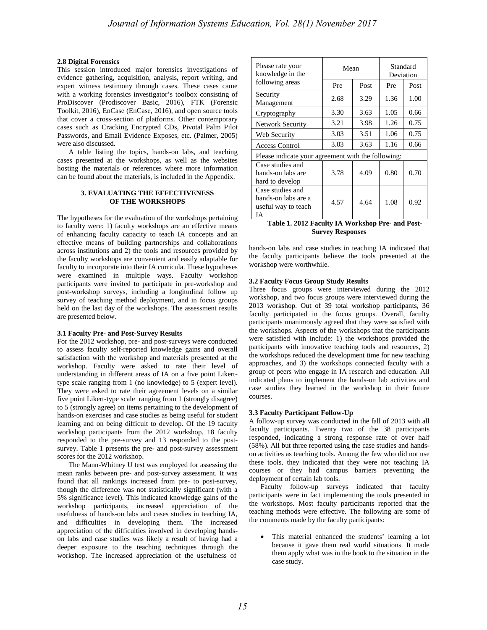#### **2.8 Digital Forensics**

This session introduced major forensics investigations of evidence gathering, acquisition, analysis, report writing, and expert witness testimony through cases. These cases came with a working forensics investigator's toolbox consisting of ProDiscover (Prodiscover Basic, 2016), FTK (Forensic Toolkit, 2016), EnCase (EnCase, 2016), and open source tools that cover a cross-section of platforms. Other contemporary cases such as Cracking Encrypted CDs, Pivotal Palm Pilot Passwords, and Email Evidence Exposes, etc. (Palmer, 2005) were also discussed.

A table listing the topics, hands-on labs, and teaching cases presented at the workshops, as well as the websites hosting the materials or references where more information can be found about the materials, is included in the Appendix.

#### **3. EVALUATING THE EFFECTIVENESS OF THE WORKSHOPS**

The hypotheses for the evaluation of the workshops pertaining to faculty were: 1) faculty workshops are an effective means of enhancing faculty capacity to teach IA concepts and an effective means of building partnerships and collaborations across institutions and 2) the tools and resources provided by the faculty workshops are convenient and easily adaptable for faculty to incorporate into their IA curricula. These hypotheses were examined in multiple ways. Faculty workshop participants were invited to participate in pre-workshop and post-workshop surveys, including a longitudinal follow up survey of teaching method deployment, and in focus groups held on the last day of the workshops. The assessment results are presented below.

#### **3.1 Faculty Pre- and Post-Survey Results**

For the 2012 workshop, pre- and post-surveys were conducted to assess faculty self-reported knowledge gains and overall satisfaction with the workshop and materials presented at the workshop. Faculty were asked to rate their level of understanding in different areas of IA on a five point Likerttype scale ranging from 1 (no knowledge) to 5 (expert level). They were asked to rate their agreement levels on a similar five point Likert-type scale ranging from 1 (strongly disagree) to 5 (strongly agree) on items pertaining to the development of hands-on exercises and case studies as being useful for student learning and on being difficult to develop. Of the 19 faculty workshop participants from the 2012 workshop, 18 faculty responded to the pre-survey and 13 responded to the postsurvey. Table 1 presents the pre- and post-survey assessment scores for the 2012 workshop.

The Mann-Whitney U test was employed for assessing the mean ranks between pre- and post-survey assessment. It was found that all rankings increased from pre- to post-survey, though the difference was not statistically significant (with a 5% significance level). This indicated knowledge gains of the workshop participants, increased appreciation of the usefulness of hands-on labs and cases studies in teaching IA, and difficulties in developing them. The increased appreciation of the difficulties involved in developing handson labs and case studies was likely a result of having had a deeper exposure to the teaching techniques through the workshop. The increased appreciation of the usefulness of

| Please rate your<br>knowledge in the<br>following areas              | Mean |      | Standard<br>Deviation |      |  |
|----------------------------------------------------------------------|------|------|-----------------------|------|--|
|                                                                      | Pre  | Post | Pre                   | Post |  |
| Security<br>Management                                               | 2.68 | 3.29 | 1.36                  | 1.00 |  |
| Cryptography                                                         | 3.30 | 3.63 | 1.05                  | 0.66 |  |
| <b>Network Security</b>                                              | 3.21 | 3.98 | 1.26                  | 0.75 |  |
| Web Security                                                         | 3.03 | 3.51 | 1.06                  | 0.75 |  |
| <b>Access Control</b>                                                | 3.03 | 3.63 | 1.16                  | 0.66 |  |
| Please indicate your agreement with the following:                   |      |      |                       |      |  |
| Case studies and<br>hands-on labs are<br>hard to develop             | 3.78 | 4.09 | 0.80                  | 0.70 |  |
| Case studies and<br>hands-on labs are a<br>useful way to teach<br>IА | 4.57 | 4.64 | 1.08                  | 0.92 |  |

**Table 1. 2012 Faculty IA Workshop Pre- and Post-Survey Responses**

hands-on labs and case studies in teaching IA indicated that the faculty participants believe the tools presented at the workshop were worthwhile.

#### **3.2 Faculty Focus Group Study Results**

Three focus groups were interviewed during the 2012 workshop, and two focus groups were interviewed during the 2013 workshop. Out of 39 total workshop participants, 36 faculty participated in the focus groups. Overall, faculty participants unanimously agreed that they were satisfied with the workshops. Aspects of the workshops that the participants were satisfied with include: 1) the workshops provided the participants with innovative teaching tools and resources, 2) the workshops reduced the development time for new teaching approaches, and 3) the workshops connected faculty with a group of peers who engage in IA research and education. All indicated plans to implement the hands-on lab activities and case studies they learned in the workshop in their future courses.

#### **3.3 Faculty Participant Follow-Up**

A follow-up survey was conducted in the fall of 2013 with all faculty participants. Twenty two of the 38 participants responded, indicating a strong response rate of over half (58%). All but three reported using the case studies and handson activities as teaching tools. Among the few who did not use these tools, they indicated that they were not teaching IA courses or they had campus barriers preventing the deployment of certain lab tools.

Faculty follow-up surveys indicated that faculty participants were in fact implementing the tools presented in the workshops. Most faculty participants reported that the teaching methods were effective. The following are some of the comments made by the faculty participants:

This material enhanced the students' learning a lot because it gave them real world situations. It made them apply what was in the book to the situation in the case study.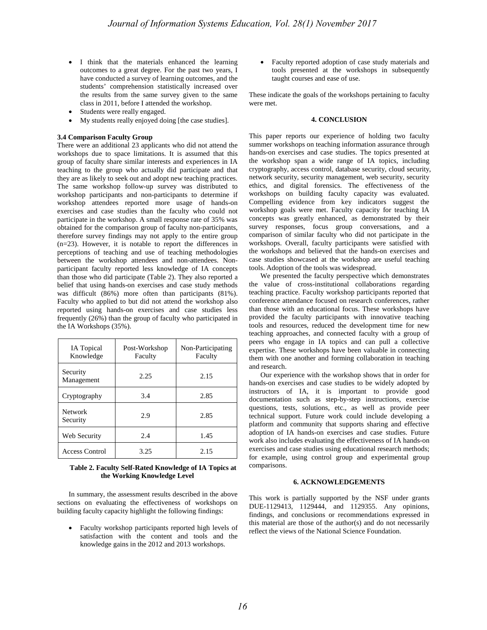- I think that the materials enhanced the learning outcomes to a great degree. For the past two years, I have conducted a survey of learning outcomes, and the students' comprehension statistically increased over the results from the same survey given to the same class in 2011, before I attended the workshop.
- Students were really engaged.
- My students really enjoyed doing [the case studies].

#### **3.4 Comparison Faculty Group**

There were an additional 23 applicants who did not attend the workshops due to space limitations. It is assumed that this group of faculty share similar interests and experiences in IA teaching to the group who actually did participate and that they are as likely to seek out and adopt new teaching practices. The same workshop follow-up survey was distributed to workshop participants and non-participants to determine if workshop attendees reported more usage of hands-on exercises and case studies than the faculty who could not participate in the workshop. A small response rate of 35% was obtained for the comparison group of faculty non-participants, therefore survey findings may not apply to the entire group (n=23). However, it is notable to report the differences in perceptions of teaching and use of teaching methodologies between the workshop attendees and non-attendees. Nonparticipant faculty reported less knowledge of IA concepts than those who did participate (Table 2). They also reported a belief that using hands-on exercises and case study methods was difficult (86%) more often than participants (81%). Faculty who applied to but did not attend the workshop also reported using hands-on exercises and case studies less frequently (26%) than the group of faculty who participated in the IA Workshops (35%).

| <b>IA</b> Topical<br>Knowledge | Post-Workshop<br>Faculty | Non-Participating<br>Faculty |
|--------------------------------|--------------------------|------------------------------|
| Security<br>Management         | 2.25                     | 2.15                         |
| Cryptography                   | 3.4                      | 2.85                         |
| <b>Network</b><br>Security     | 2.9                      | 2.85                         |
| Web Security                   | 2.4                      | 1.45                         |
| <b>Access Control</b>          | 3.25                     | 2.15                         |

#### **Table 2. Faculty Self-Rated Knowledge of IA Topics at the Working Knowledge Level**

In summary, the assessment results described in the above sections on evaluating the effectiveness of workshops on building faculty capacity highlight the following findings:

• Faculty workshop participants reported high levels of satisfaction with the content and tools and the knowledge gains in the 2012 and 2013 workshops.

• Faculty reported adoption of case study materials and tools presented at the workshops in subsequently taught courses and ease of use.

These indicate the goals of the workshops pertaining to faculty were met.

#### **4. CONCLUSION**

This paper reports our experience of holding two faculty summer workshops on teaching information assurance through hands-on exercises and case studies. The topics presented at the workshop span a wide range of IA topics, including cryptography, access control, database security, cloud security, network security, security management, web security, security ethics, and digital forensics. The effectiveness of the workshops on building faculty capacity was evaluated. Compelling evidence from key indicators suggest the workshop goals were met. Faculty capacity for teaching IA concepts was greatly enhanced, as demonstrated by their survey responses, focus group conversations, and a comparison of similar faculty who did not participate in the workshops. Overall, faculty participants were satisfied with the workshops and believed that the hands-on exercises and case studies showcased at the workshop are useful teaching tools. Adoption of the tools was widespread.

We presented the faculty perspective which demonstrates the value of cross-institutional collaborations regarding teaching practice. Faculty workshop participants reported that conference attendance focused on research conferences, rather than those with an educational focus. These workshops have provided the faculty participants with innovative teaching tools and resources, reduced the development time for new teaching approaches, and connected faculty with a group of peers who engage in IA topics and can pull a collective expertise. These workshops have been valuable in connecting them with one another and forming collaboration in teaching and research.

Our experience with the workshop shows that in order for hands-on exercises and case studies to be widely adopted by instructors of IA, it is important to provide good documentation such as step-by-step instructions, exercise questions, tests, solutions, etc., as well as provide peer technical support. Future work could include developing a platform and community that supports sharing and effective adoption of IA hands-on exercises and case studies. Future work also includes evaluating the effectiveness of IA hands-on exercises and case studies using educational research methods; for example, using control group and experimental group comparisons.

#### **6. ACKNOWLEDGEMENTS**

This work is partially supported by the NSF under grants DUE-1129413, 1129444, and 1129355. Any opinions, findings, and conclusions or recommendations expressed in this material are those of the author(s) and do not necessarily reflect the views of the National Science Foundation.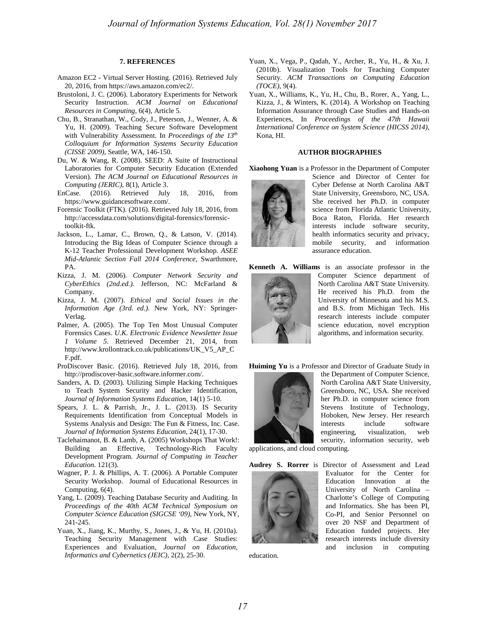#### **7. REFERENCES**

- Amazon EC2 Virtual Server Hosting. (2016). Retrieved July 20, 2016, from https://aws.amazon.com/ec2/.
- Brustoloni, J. C. (2006). Laboratory Experiments for Network Security Instruction. *ACM Journal on Educational Resources in Computing*, 6(4), Article 5.
- Chu, B., Stranathan, W., Cody, J., Peterson, J., Wenner, A. & Yu, H. (2009). Teaching Secure Software Development with Vulnerability Assessment. In *Proceedings of the 13th Colloquium for Information Systems Security Education (CISSE 2009),* Seattle, WA, 146-150.
- Du, W. & Wang, R. (2008). SEED: A Suite of Instructional Laboratories for Computer Security Education (Extended Version). *The ACM Journal on Educational Resources in Computing (JERIC)*, 8(1), Article 3.
- EnCase. (2016). Retrieved July 18, 2016, from https://www.guidancesoftware.com/.
- Forensic Toolkit (FTK). (2016). Retrieved July 18, 2016, from http://accessdata.com/solutions/digital-forensics/forensictoolkit-ftk.
- Jackson, L., Lamar, C., Brown, Q., & Latson, V. (2014). Introducing the Big Ideas of Computer Science through a K-12 Teacher Professional Development Workshop. *ASEE Mid-Atlantic Section Fall 2014 Conference*, Swarthmore, PA.
- Kizza, J. M. (2006). *Computer Network Security and CyberEthics (2nd.ed.).* Jefferson, NC: McFarland & Company.
- Kizza, J. M. (2007). *Ethical and Social Issues in the Information Age (3rd. ed.)*. New York, NY: Springer-Verlag.
- Palmer, A. (2005). The Top Ten Most Unusual Computer Forensics Cases. *U.K. Electronic Evidence Newsletter Issue 1 Volume 5*. Retrieved December 21, 2014, from http://www.krollontrack.co.uk/publications/UK\_V5\_AP\_C F.pdf.
- ProDiscover Basic. (2016). Retrieved July 18, 2016, from http://prodiscover-basic.software.informer.com/.
- Sanders, A. D. (2003). Utilizing Simple Hacking Techniques to Teach System Security and Hacker Identification, *Journal of Information Systems Education*, 14(1) 5-10.
- Spears, J. L. & Parrish, Jr., J. L. (2013). IS Security Requirements Identification from Conceptual Models in Systems Analysis and Design: The Fun & Fitness, Inc. Case. *Journal of Information Systems Education*, 24(1), 17-30.
- Taclehaimanot, B. & Lamb, A. (2005) Workshops That Work!: Building an Effective, Technology-Rich Faculty Development Program. *Journal of Computing in Teacher Education.* 121(3).
- Wagner, P. J. & Phillips, A. T. (2006). A Portable Computer Security Workshop. Journal of Educational Resources in Computing, 6(4).
- Yang, L. (2009). Teaching Database Security and Auditing. In *Proceedings of the 40th ACM Technical Symposium on Computer Science Education (SIGCSE '09)*, New York, NY, 241-245.
- Yuan, X., Jiang, K., Murthy, S., Jones, J., & Yu, H. (2010a). Teaching Security Management with Case Studies: Experiences and Evaluation, *Journal on Education, Informatics and Cybernetics (JEIC)*, 2(2), 25-30.
- Yuan, X., Vega, P., Qadah, Y., Archer, R., Yu, H., & Xu, J. (2010b). Visualization Tools for Teaching Computer Security. *ACM Transactions on Computing Education (TOCE)*, 9(4).
- Yuan, X., Williams, K., Yu, H., Chu, B., Rorer, A., Yang, L., Kizza, J., & Winters, K. (2014). A Workshop on Teaching Information Assurance through Case Studies and Hands-on Experiences, In *Proceedings of the 47th Hawaii International Conference on System Science (HICSS 2014),* Kona, HI.

#### **AUTHOR BIOGRAPHIES**

**Xiaohong Yuan** is a Professor in the Department of Computer



Science and Director of Center for Cyber Defense at North Carolina A&T State University, Greensboro, NC, USA. She received her Ph.D. in computer science from Florida Atlantic University, Boca Raton, Florida. Her research interests include software security, health informatics security and privacy, mobile security, and information assurance education.

**Kenneth A. Williams** is an associate professor in the



Computer Science department of North Carolina A&T State University. He received his Ph.D. from the University of Minnesota and his M.S. and B.S. from Michigan Tech. His research interests include computer science education, novel encryption algorithms, and information security.

**Huiming Yu** is a Professor and Director of Graduate Study in



the Department of Computer Science, North Carolina A&T State University, Greensboro, NC, USA. She received her Ph.D. in computer science from Stevens Institute of Technology, Hoboken, New Jersey. Her research interests include software engineering, visualization, web security, information security, web

applications, and cloud computing.



education.

**Audrey S. Rorrer** is Director of Assessment and Lead Evaluator for the Center for Education Innovation at the University of North Carolina – Charlotte's College of Computing and Informatics. She has been PI, Co-PI, and Senior Personnel on over 20 NSF and Department of Education funded projects. Her research interests include diversity and inclusion in computing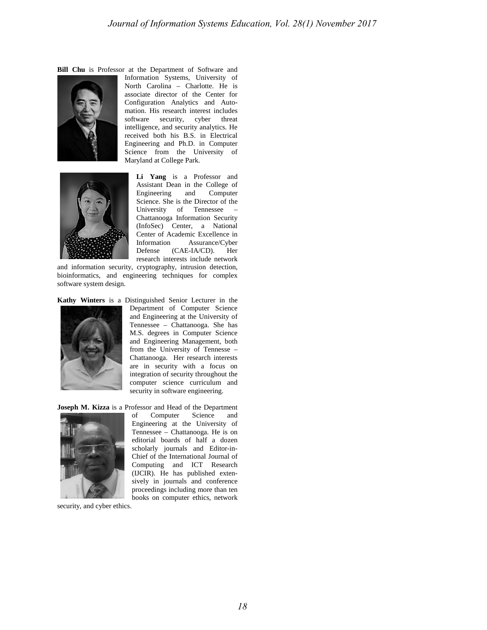**Bill Chu** is Professor at the Department of Software and





Information Systems, University of North Carolina – Charlotte. He is associate director of the Center for Configuration Analytics and Automation. His research interest includes software security, cyber threat intelligence, and security analytics. He received both his B.S. in Electrical Engineering and Ph.D. in Computer Science from the University of Maryland at College Park.

> **Li Yang** is a Professor and Assistant Dean in the College of Engineering and Computer Science. She is the Director of the University of Tennessee – Chattanooga Information Security (InfoSec) Center, a National Center of Academic Excellence in Information Assurance/Cyber Defense (CAE-IA/CD). Her research interests include network

and information security, cryptography, intrusion detection, bioinformatics, and engineering techniques for complex software system design.

**Kathy Winters** is a Distinguished Senior Lecturer in the



Department of Computer Science and Engineering at the University of Tennessee – Chattanooga. She has M.S. degrees in Computer Science and Engineering Management, both from the University of Tennesse – Chattanooga. Her research interests are in security with a focus on integration of security throughout the computer science curriculum and security in software engineering.

**Joseph M. Kizza** is a Professor and Head of the Department



security, and cyber ethics.

of Computer Science and Engineering at the University of Tennessee – Chattanooga. He is on editorial boards of half a dozen scholarly journals and Editor-in-Chief of the International Journal of Computing and ICT Research (IJCIR). He has published extensively in journals and conference proceedings including more than ten books on computer ethics, network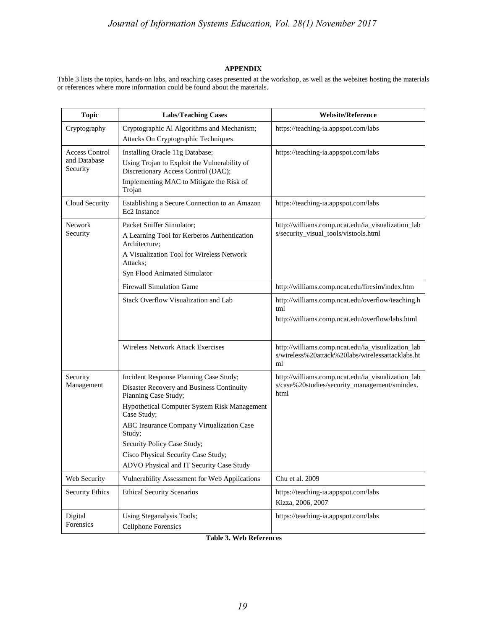### **APPENDIX**

Table 3 lists the topics, hands-on labs, and teaching cases presented at the workshop, as well as the websites hosting the materials or references where more information could be found about the materials.

| <b>Topic</b>                                      | <b>Labs/Teaching Cases</b>                                                                                                                                                                                                                                                                                                                          | <b>Website/Reference</b>                                                                                     |
|---------------------------------------------------|-----------------------------------------------------------------------------------------------------------------------------------------------------------------------------------------------------------------------------------------------------------------------------------------------------------------------------------------------------|--------------------------------------------------------------------------------------------------------------|
| Cryptography                                      | Cryptographic Al Algorithms and Mechanism;<br>Attacks On Cryptographic Techniques                                                                                                                                                                                                                                                                   | https://teaching-ia.appspot.com/labs                                                                         |
| <b>Access Control</b><br>and Database<br>Security | Installing Oracle 11g Database;<br>Using Trojan to Exploit the Vulnerability of<br>Discretionary Access Control (DAC);<br>Implementing MAC to Mitigate the Risk of<br>Trojan                                                                                                                                                                        | https://teaching-ia.appspot.com/labs                                                                         |
| Cloud Security                                    | Establishing a Secure Connection to an Amazon<br>Ec <sub>2</sub> Instance                                                                                                                                                                                                                                                                           | https://teaching-ia.appspot.com/labs                                                                         |
| <b>Network</b><br>Security                        | Packet Sniffer Simulator;<br>A Learning Tool for Kerberos Authentication<br>Architecture;<br>A Visualization Tool for Wireless Network<br>Attacks;<br>Syn Flood Animated Simulator                                                                                                                                                                  | http://williams.comp.ncat.edu/ia_visualization_lab<br>s/security_visual_tools/vistools.html                  |
|                                                   | <b>Firewall Simulation Game</b>                                                                                                                                                                                                                                                                                                                     | http://williams.comp.ncat.edu/firesim/index.htm                                                              |
|                                                   | Stack Overflow Visualization and Lab                                                                                                                                                                                                                                                                                                                | http://williams.comp.ncat.edu/overflow/teaching.h<br>tml<br>http://williams.comp.ncat.edu/overflow/labs.html |
|                                                   | Wireless Network Attack Exercises                                                                                                                                                                                                                                                                                                                   | http://williams.comp.ncat.edu/ia_visualization_lab<br>s/wireless%20attack%20labs/wirelessattacklabs.ht<br>ml |
| Security<br>Management                            | Incident Response Planning Case Study;<br>Disaster Recovery and Business Continuity<br>Planning Case Study;<br>Hypothetical Computer System Risk Management<br>Case Study;<br>ABC Insurance Company Virtualization Case<br>Study;<br>Security Policy Case Study;<br>Cisco Physical Security Case Study;<br>ADVO Physical and IT Security Case Study | http://williams.comp.ncat.edu/ia_visualization_lab<br>s/case%20studies/security_management/smindex.<br>html  |
| Web Security                                      | Vulnerability Assessment for Web Applications                                                                                                                                                                                                                                                                                                       | Chu et al. 2009                                                                                              |
| <b>Security Ethics</b>                            | <b>Ethical Security Scenarios</b>                                                                                                                                                                                                                                                                                                                   | https://teaching-ia.appspot.com/labs<br>Kizza, 2006, 2007                                                    |
| Digital<br>Forensics                              | Using Steganalysis Tools;<br><b>Cellphone Forensics</b>                                                                                                                                                                                                                                                                                             | https://teaching-ia.appspot.com/labs                                                                         |

**Table 3. Web References**